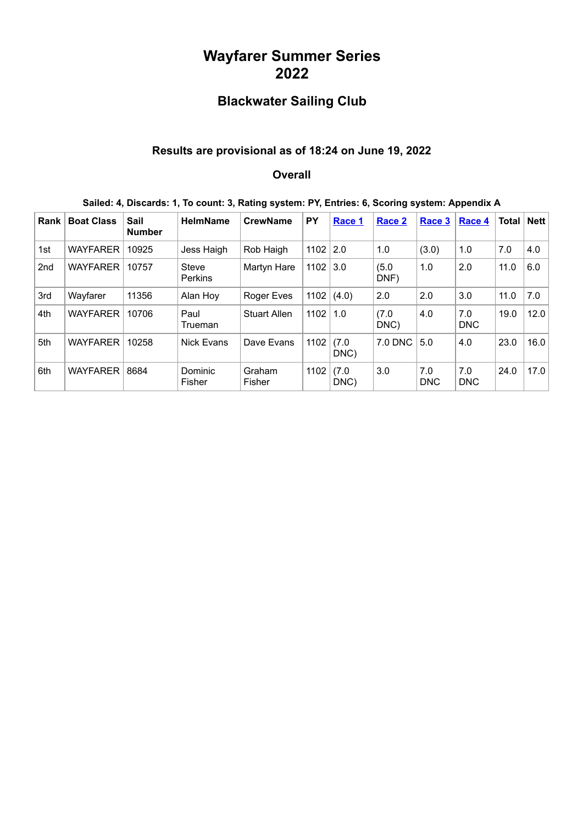## **Wayfarer Summer Series 2022**

# **Blackwater Sailing Club**

### **Results are provisional as of 18:24 on June 19, 2022**

#### **Overall**

| Sailed: 4, Discards: 1, To count: 3, Rating system: PY, Entries: 6, Scoring system: Appendix A |  |  |
|------------------------------------------------------------------------------------------------|--|--|
|------------------------------------------------------------------------------------------------|--|--|

| <b>Rank</b> | <b>Boat Class</b> | Sail<br><b>Number</b> | <b>HelmName</b>         | <b>CrewName</b>     | PY           | Race 1        | Race 2        | Race 3            | Race 4            | Total | <b>Nett</b> |
|-------------|-------------------|-----------------------|-------------------------|---------------------|--------------|---------------|---------------|-------------------|-------------------|-------|-------------|
| 1st         | <b>WAYFARER</b>   | 10925                 | Jess Haigh              | Rob Haigh           | $1102$   2.0 |               | 1.0           | (3.0)             | 1.0               | 7.0   | 4.0         |
| 2nd         | <b>WAYFARER</b>   | 10757                 | Steve<br><b>Perkins</b> | Martyn Hare         | $1102$ 3.0   |               | (5.0)<br>DNF) | 1.0               | 2.0               | 11.0  | 6.0         |
| 3rd         | Wayfarer          | 11356                 | Alan Hoy                | Roger Eves          | 1102         | (4.0)         | 2.0           | 2.0               | 3.0               | 11.0  | 7.0         |
| 4th         | <b>WAYFARER</b>   | 10706                 | Paul<br>Trueman         | <b>Stuart Allen</b> | 1102         | 1.0           | (7.0)<br>DNC) | 4.0               | 7.0<br><b>DNC</b> | 19.0  | 12.0        |
| 5th         | <b>WAYFARER</b>   | 10258                 | <b>Nick Evans</b>       | Dave Evans          | 1102         | (7.0)<br>DNC) | 7.0 DNC       | 5.0               | 4.0               | 23.0  | 16.0        |
| 6th         | <b>WAYFARER</b>   | 8684                  | Dominic<br>Fisher       | Graham<br>Fisher    | 1102         | (7.0)<br>DNC) | 3.0           | 7.0<br><b>DNC</b> | 7.0<br><b>DNC</b> | 24.0  | 17.0        |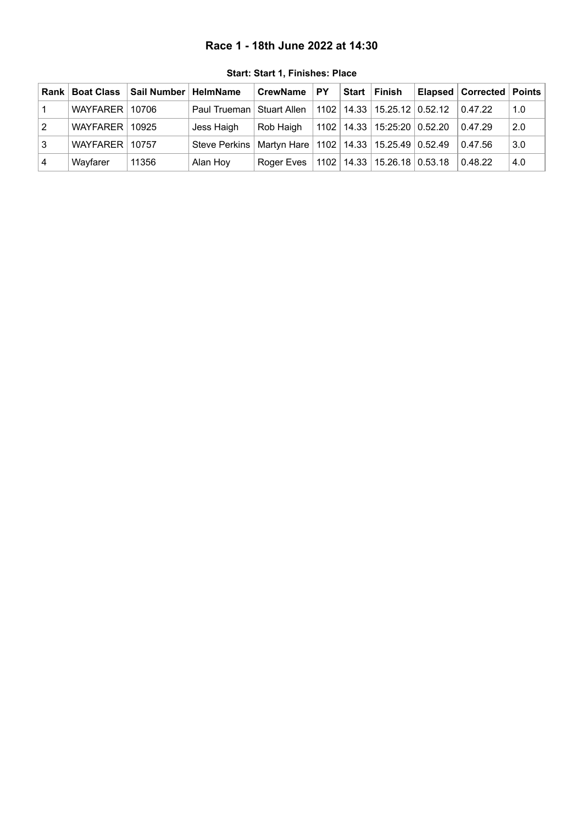#### **Race 1 - 18th June 2022 at 14:30**

<span id="page-1-0"></span>

|            |                  | Rank   Boat Class   Sail Number   HelmName |                                                                 | <b>CrewName</b> | <b>PY</b> | Start Finish                        | Elapsed   Corrected   Points |     |
|------------|------------------|--------------------------------------------|-----------------------------------------------------------------|-----------------|-----------|-------------------------------------|------------------------------|-----|
|            | WAYFARER 10706   |                                            | Paul Trueman   Stuart Allen                                     |                 |           | 1102   14.33   15.25.12   0.52.12   | 0.47.22                      | 1.0 |
| $\sqrt{2}$ | WAYFARER   10925 |                                            | Jess Haigh                                                      | Rob Haigh       |           | $1102$   14.33   15:25:20   0.52.20 | 0.47.29                      | 2.0 |
| l 3        | WAYFARER   10757 |                                            | Steve Perkins   Martyn Hare   1102   14.33   15.25.49   0.52.49 |                 |           |                                     | 0.47.56                      | 3.0 |
| l 4        | Wayfarer         | 11356                                      | Alan Hoy                                                        | Roger Eves      |           | $1102$   14.33   15.26.18   0.53.18 | 0.48.22                      | 4.0 |

**Start: Start 1, Finishes: Place**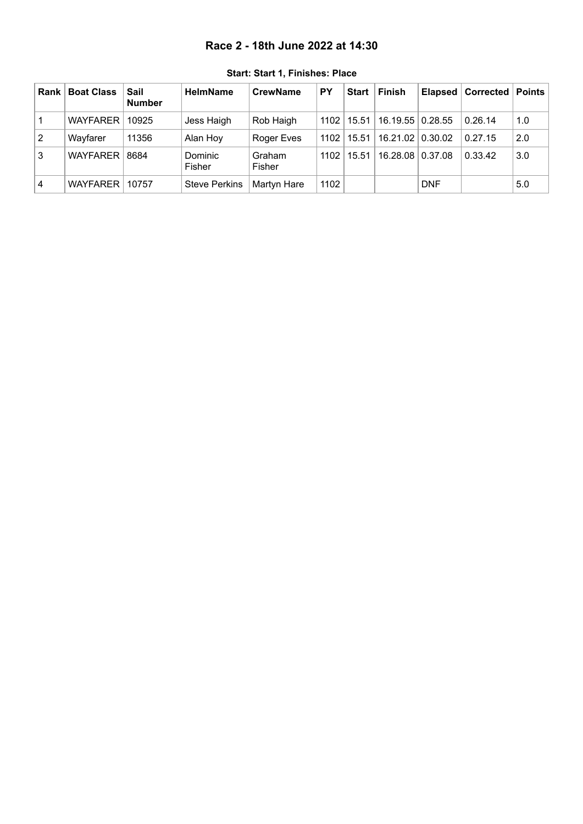#### **Race 2 - 18th June 2022 at 14:30**

<span id="page-2-0"></span>

| <b>Rank</b>   | <b>Boat Class</b> | Sail<br><b>Number</b> | <b>HelmName</b>      | <b>CrewName</b>   | PY   | Start   Finish             | Elapsed    | Corrected   Points |     |
|---------------|-------------------|-----------------------|----------------------|-------------------|------|----------------------------|------------|--------------------|-----|
|               | <b>WAYFARER</b>   | 10925                 | Jess Haigh           | Rob Haigh         | 1102 | 15.51   16.19.55   0.28.55 |            | 0.26.14            | 1.0 |
| $\mathcal{P}$ | Wayfarer          | 11356                 | Alan Hoy             | <b>Roger Eves</b> | 1102 | 15.51   16.21.02   0.30.02 |            | 0.27.15            | 2.0 |
| 3             | <b>WAYFARER</b>   | 8684                  | Dominic<br>Fisher    | Graham<br>Fisher  | 1102 | 15.51   16.28.08   0.37.08 |            | 0.33.42            | 3.0 |
| 4             | <b>WAYFARER</b>   | 10757                 | <b>Steve Perkins</b> | Martyn Hare       | 1102 |                            | <b>DNF</b> |                    | 5.0 |

**Start: Start 1, Finishes: Place**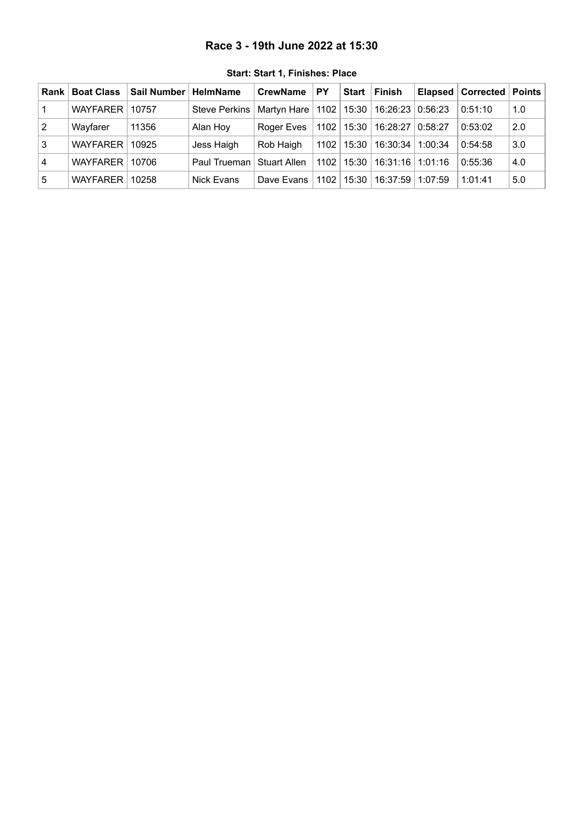#### **Race 3 - 19th June 2022 at 15:30**

<span id="page-3-0"></span>

| Rank l         | <b>Boat Class</b> | Sail Number | <b>HelmName</b>             | <b>CrewName</b> | <b>PY</b> | Start          | Finish                            |         | Elapsed   Corrected   Points |     |
|----------------|-------------------|-------------|-----------------------------|-----------------|-----------|----------------|-----------------------------------|---------|------------------------------|-----|
|                | WAYFARER I        | 10757       | Steve Perkins               | Martyn Hare     |           | $1102$   15:30 | 16:26:23   0:56:23                |         | 0:51:10                      | 1.0 |
| $\overline{2}$ | Wayfarer          | 11356       | Alan Hoy                    | Roger Eves      |           |                | 1102   15:30   16:28:27   0:58:27 |         | 0:53:02                      | 2.0 |
| 3              | WAYFARER I        | 10925       | Jess Haigh                  | Rob Haigh       |           | 1102   15:30   | 16:30:34   1:00:34                |         | 0:54:58                      | 3.0 |
| 4              | WAYFARER I        | 10706       | Paul Trueman   Stuart Allen |                 |           | 1102   15:30   | 16:31:16 1:01:16                  |         | 0:55:36                      | 4.0 |
| l 5            | WAYFARER 10258    |             | Nick Evans                  | Dave Evans      |           | 1102 15:30     | 16:37:59                          | 1:07:59 | 1:01:41                      | 5.0 |

**Start: Start 1, Finishes: Place**